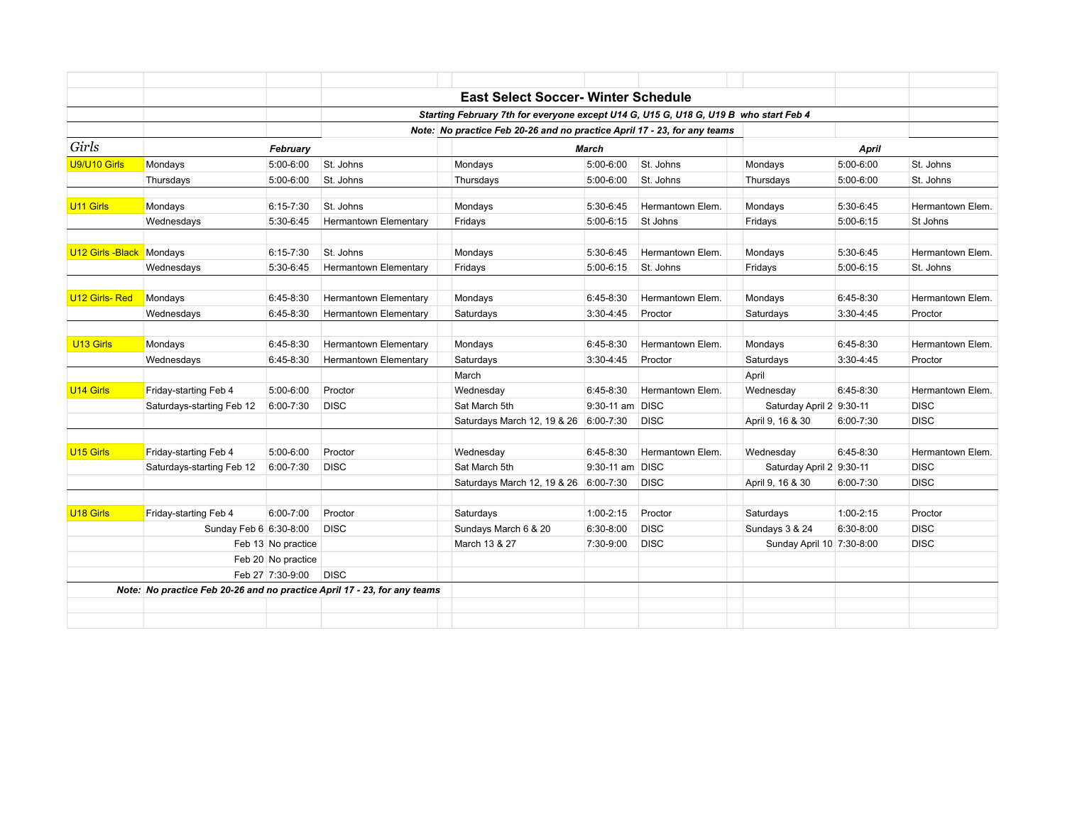|                           |                                                                          |                    |                                                                                      | <b>East Select Soccer- Winter Schedule</b> |                 |                  |                           |               |                  |
|---------------------------|--------------------------------------------------------------------------|--------------------|--------------------------------------------------------------------------------------|--------------------------------------------|-----------------|------------------|---------------------------|---------------|------------------|
|                           |                                                                          |                    | Starting February 7th for everyone except U14 G, U15 G, U18 G, U19 B who start Feb 4 |                                            |                 |                  |                           |               |                  |
|                           |                                                                          |                    | Note: No practice Feb 20-26 and no practice April 17 - 23, for any teams             |                                            |                 |                  |                           |               |                  |
| Girls                     |                                                                          | February           |                                                                                      | March                                      |                 |                  | April                     |               |                  |
| U9/U10 Girls              | Mondays                                                                  | 5:00-6:00          | St. Johns                                                                            | Mondays                                    | 5:00-6:00       | St. Johns        | Mondays                   | 5:00-6:00     | St. Johns        |
|                           | Thursdays                                                                | 5:00-6:00          | St. Johns                                                                            | Thursdays                                  | 5:00-6:00       | St. Johns        | Thursdays                 | 5:00-6:00     | St. Johns        |
| U11 Girls                 | Mondays                                                                  | $6:15 - 7:30$      | St. Johns                                                                            | Mondays                                    | 5:30-6:45       | Hermantown Elem. | Mondays                   | 5:30-6:45     | Hermantown Elem. |
|                           | Wednesdays                                                               | 5:30-6:45          | Hermantown Elementary                                                                | Fridays                                    | $5:00-6:15$     | St Johns         | Fridays                   | 5:00-6:15     | St Johns         |
| U12 Girls - Black Mondays |                                                                          | 6:15-7:30          | St. Johns                                                                            | Mondays                                    | 5:30-6:45       | Hermantown Elem. | Mondays                   | 5:30-6:45     | Hermantown Elem. |
|                           | Wednesdays                                                               | 5:30-6:45          | Hermantown Elementary                                                                | Fridays                                    | $5:00-6:15$     | St. Johns        | Fridays                   | $5:00-6:15$   | St. Johns        |
|                           |                                                                          |                    |                                                                                      |                                            |                 |                  |                           |               |                  |
| U12 Girls-Red             | Mondays                                                                  | 6:45-8:30          | Hermantown Elementary                                                                | Mondays                                    | $6:45-8:30$     | Hermantown Elem. | Mondays                   | $6:45-8:30$   | Hermantown Elem. |
|                           | Wednesdays                                                               | 6:45-8:30          | <b>Hermantown Elementary</b>                                                         | Saturdays                                  | $3:30-4:45$     | Proctor          | Saturdays                 | $3:30-4:45$   | Proctor          |
|                           |                                                                          |                    |                                                                                      |                                            |                 |                  |                           |               |                  |
| U <sub>13</sub> Girls     | Mondays                                                                  | 6:45-8:30          | Hermantown Elementary                                                                | Mondays                                    | $6:45-8:30$     | Hermantown Elem. | Mondays                   | 6:45-8:30     | Hermantown Elem. |
|                           | Wednesdays                                                               | 6:45-8:30          | Hermantown Elementary                                                                | Saturdays                                  | 3:30-4:45       | Proctor          | Saturdays                 | $3:30-4:45$   | Proctor          |
|                           |                                                                          |                    |                                                                                      | March                                      |                 |                  | April                     |               |                  |
| U <sub>14</sub> Girls     | Friday-starting Feb 4                                                    | 5:00-6:00          | Proctor                                                                              | Wednesday                                  | $6:45-8:30$     | Hermantown Elem. | Wednesday                 | 6:45-8:30     | Hermantown Elem. |
|                           | Saturdays-starting Feb 12                                                | 6:00-7:30          | <b>DISC</b>                                                                          | Sat March 5th                              | 9:30-11 am DISC |                  | Saturday April 2 9:30-11  |               | <b>DISC</b>      |
|                           |                                                                          |                    |                                                                                      | Saturdays March 12, 19 & 26 6:00-7:30      |                 | <b>DISC</b>      | April 9, 16 & 30          | $6:00 - 7:30$ | <b>DISC</b>      |
| U <sub>15</sub> Girls     | Friday-starting Feb 4                                                    | 5:00-6:00          | Proctor                                                                              | Wednesday                                  | 6:45-8:30       | Hermantown Elem. | Wednesday                 | 6:45-8:30     | Hermantown Elem. |
|                           | Saturdays-starting Feb 12                                                | 6:00-7:30          | <b>DISC</b>                                                                          | Sat March 5th                              | 9:30-11 am DISC |                  | Saturday April 2 9:30-11  |               | <b>DISC</b>      |
|                           |                                                                          |                    |                                                                                      | Saturdays March 12, 19 & 26 6:00-7:30      |                 | <b>DISC</b>      | April 9, 16 & 30          | $6:00 - 7:30$ | <b>DISC</b>      |
|                           |                                                                          |                    |                                                                                      |                                            |                 |                  |                           |               |                  |
| U <sub>18</sub> Girls     | Friday-starting Feb 4                                                    | 6:00-7:00          | Proctor                                                                              | Saturdays                                  | $1:00 - 2:15$   | Proctor          | Saturdays                 | 1:00-2:15     | Proctor          |
|                           | Sunday Feb 6 6:30-8:00                                                   |                    | <b>DISC</b>                                                                          | Sundays March 6 & 20                       | $6:30-8:00$     | <b>DISC</b>      | Sundays 3 & 24            | $6:30-8:00$   | <b>DISC</b>      |
|                           |                                                                          | Feb 13 No practice |                                                                                      | March 13 & 27                              | 7:30-9:00       | <b>DISC</b>      | Sunday April 10 7:30-8:00 |               | <b>DISC</b>      |
|                           |                                                                          | Feb 20 No practice |                                                                                      |                                            |                 |                  |                           |               |                  |
|                           |                                                                          | Feb 27 7:30-9:00   | <b>DISC</b>                                                                          |                                            |                 |                  |                           |               |                  |
|                           | Note: No practice Feb 20-26 and no practice April 17 - 23, for any teams |                    |                                                                                      |                                            |                 |                  |                           |               |                  |
|                           |                                                                          |                    |                                                                                      |                                            |                 |                  |                           |               |                  |
|                           |                                                                          |                    |                                                                                      |                                            |                 |                  |                           |               |                  |